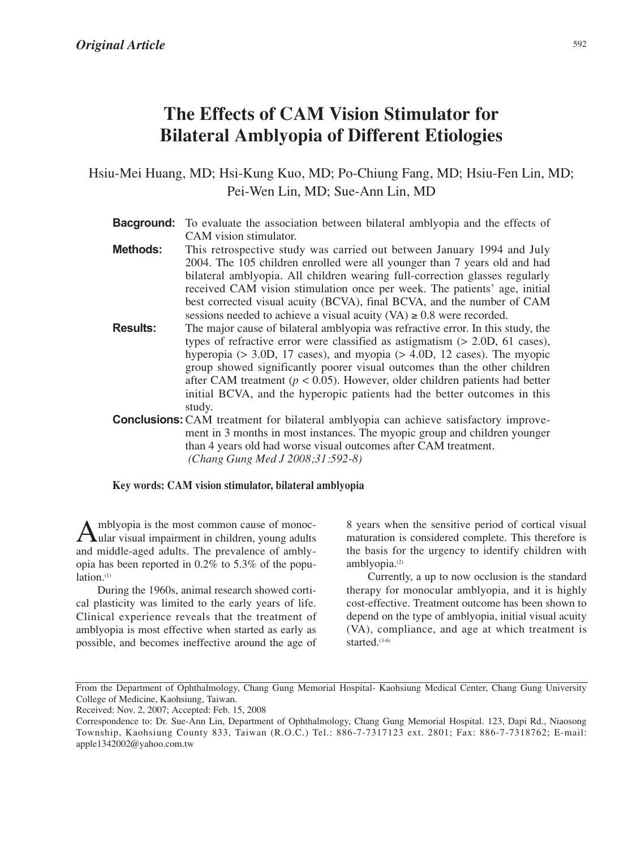# **The Effects of CAM Vision Stimulator for Bilateral Amblyopia of Different Etiologies**

Hsiu-Mei Huang, MD; Hsi-Kung Kuo, MD; Po-Chiung Fang, MD; Hsiu-Fen Lin, MD; Pei-Wen Lin, MD; Sue-Ann Lin, MD

- **Bacground:** To evaluate the association between bilateral amblyopia and the effects of CAM vision stimulator.
- **Methods:** This retrospective study was carried out between January 1994 and July 2004. The 105 children enrolled were all younger than 7 years old and had bilateral amblyopia. All children wearing full-correction glasses regularly received CAM vision stimulation once per week. The patients' age, initial best corrected visual acuity (BCVA), final BCVA, and the number of CAM sessions needed to achieve a visual acuity  $(VA) \geq 0.8$  were recorded.
- **Results:** The major cause of bilateral amblyopia was refractive error. In this study, the types of refractive error were classified as astigmatism (> 2.0D, 61 cases), hyperopia ( $> 3.0$ D, 17 cases), and myopia ( $> 4.0$ D, 12 cases). The myopic group showed significantly poorer visual outcomes than the other children after CAM treatment ( $p < 0.05$ ). However, older children patients had better initial BCVA, and the hyperopic patients had the better outcomes in this study.
- **Conclusions:**CAM treatment for bilateral amblyopia can achieve satisfactory improvement in 3 months in most instances. The myopic group and children younger than 4 years old had worse visual outcomes after CAM treatment. *(Chang Gung Med J 2008;31:592-8)*

### **Key words: CAM vision stimulator, bilateral amblyopia**

Amblyopia is the most common cause of monoc-ular visual impairment in children, young adults and middle-aged adults. The prevalence of amblyopia has been reported in 0.2% to 5.3% of the population.<sup>(1)</sup>

During the 1960s, animal research showed cortical plasticity was limited to the early years of life. Clinical experience reveals that the treatment of amblyopia is most effective when started as early as possible, and becomes ineffective around the age of 8 years when the sensitive period of cortical visual maturation is considered complete. This therefore is the basis for the urgency to identify children with amblyopia.<sup>(2)</sup>

Currently, a up to now occlusion is the standard therapy for monocular amblyopia, and it is highly cost-effective. Treatment outcome has been shown to depend on the type of amblyopia, initial visual acuity (VA), compliance, and age at which treatment is started<sup>(3-6)</sup>

From the Department of Ophthalmology, Chang Gung Memorial Hospital- Kaohsiung Medical Center, Chang Gung University College of Medicine, Kaohsiung, Taiwan.

Received: Nov. 2, 2007; Accepted: Feb. 15, 2008

Correspondence to: Dr. Sue-Ann Lin, Department of Ophthalmology, Chang Gung Memorial Hospital. 123, Dapi Rd., Niaosong Township, Kaohsiung County 833, Taiwan (R.O.C.) Tel.: 886-7-7317123 ext. 2801; Fax: 886-7-7318762; E-mail: apple1342002@yahoo.com.tw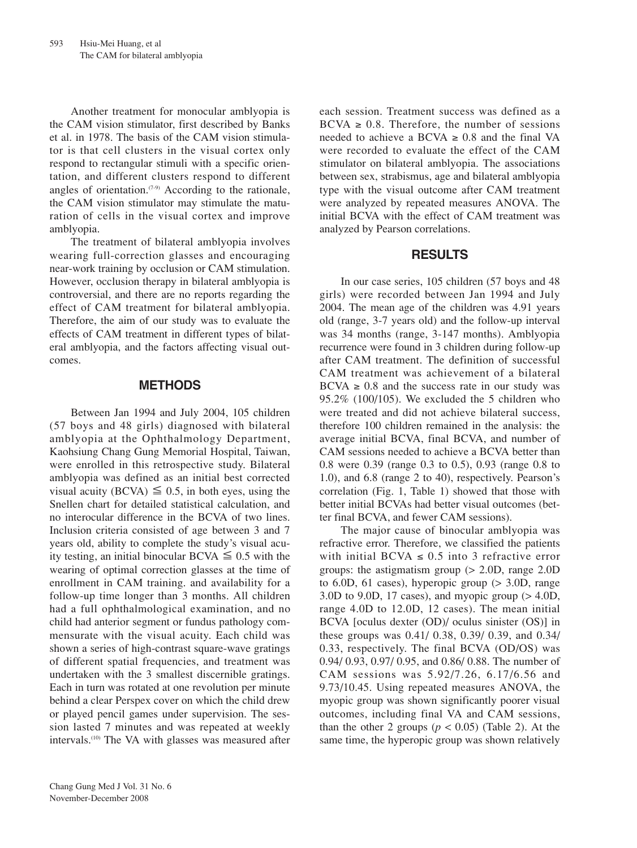Another treatment for monocular amblyopia is the CAM vision stimulator, first described by Banks et al. in 1978. The basis of the CAM vision stimulator is that cell clusters in the visual cortex only respond to rectangular stimuli with a specific orientation, and different clusters respond to different angles of orientation. $(7-9)$  According to the rationale, the CAM vision stimulator may stimulate the maturation of cells in the visual cortex and improve amblyopia.

The treatment of bilateral amblyopia involves wearing full-correction glasses and encouraging near-work training by occlusion or CAM stimulation. However, occlusion therapy in bilateral amblyopia is controversial, and there are no reports regarding the effect of CAM treatment for bilateral amblyopia. Therefore, the aim of our study was to evaluate the effects of CAM treatment in different types of bilateral amblyopia, and the factors affecting visual outcomes.

## **METHODS**

Between Jan 1994 and July 2004, 105 children (57 boys and 48 girls) diagnosed with bilateral amblyopia at the Ophthalmology Department, Kaohsiung Chang Gung Memorial Hospital, Taiwan, were enrolled in this retrospective study. Bilateral amblyopia was defined as an initial best corrected visual acuity (BCVA)  $\leq 0.5$ , in both eyes, using the Snellen chart for detailed statistical calculation, and no interocular difference in the BCVA of two lines. Inclusion criteria consisted of age between 3 and 7 years old, ability to complete the study's visual acuity testing, an initial binocular BCVA  $\leq 0.5$  with the wearing of optimal correction glasses at the time of enrollment in CAM training. and availability for a follow-up time longer than 3 months. All children had a full ophthalmological examination, and no child had anterior segment or fundus pathology commensurate with the visual acuity. Each child was shown a series of high-contrast square-wave gratings of different spatial frequencies, and treatment was undertaken with the 3 smallest discernible gratings. Each in turn was rotated at one revolution per minute behind a clear Perspex cover on which the child drew or played pencil games under supervision. The session lasted 7 minutes and was repeated at weekly intervals.(10) The VA with glasses was measured after each session. Treatment success was defined as a  $BCVA \geq 0.8$ . Therefore, the number of sessions needed to achieve a BCVA  $\geq 0.8$  and the final VA were recorded to evaluate the effect of the CAM stimulator on bilateral amblyopia. The associations between sex, strabismus, age and bilateral amblyopia type with the visual outcome after CAM treatment were analyzed by repeated measures ANOVA. The initial BCVA with the effect of CAM treatment was analyzed by Pearson correlations.

## **RESULTS**

In our case series, 105 children (57 boys and 48 girls) were recorded between Jan 1994 and July 2004. The mean age of the children was 4.91 years old (range, 3-7 years old) and the follow-up interval was 34 months (range, 3-147 months). Amblyopia recurrence were found in 3 children during follow-up after CAM treatment. The definition of successful CAM treatment was achievement of a bilateral  $BCVA \geq 0.8$  and the success rate in our study was 95.2% (100/105). We excluded the 5 children who were treated and did not achieve bilateral success, therefore 100 children remained in the analysis: the average initial BCVA, final BCVA, and number of CAM sessions needed to achieve a BCVA better than 0.8 were 0.39 (range 0.3 to 0.5), 0.93 (range 0.8 to 1.0), and 6.8 (range 2 to 40), respectively. Pearson's correlation (Fig. 1, Table 1) showed that those with better initial BCVAs had better visual outcomes (better final BCVA, and fewer CAM sessions).

The major cause of binocular amblyopia was refractive error. Therefore, we classified the patients with initial BCVA  $\leq$  0.5 into 3 refractive error groups: the astigmatism group (> 2.0D, range 2.0D to 6.0D, 61 cases), hyperopic group  $(> 3.0D, \text{range})$  $3.0D$  to  $9.0D$ ,  $17$  cases), and myopic group ( $> 4.0D$ , range 4.0D to 12.0D, 12 cases). The mean initial BCVA [oculus dexter (OD)/ oculus sinister (OS)] in these groups was 0.41/ 0.38, 0.39/ 0.39, and 0.34/ 0.33, respectively. The final BCVA (OD/OS) was 0.94/ 0.93, 0.97/ 0.95, and 0.86/ 0.88. The number of CAM sessions was 5.92/7.26, 6.17/6.56 and 9.73/10.45. Using repeated measures ANOVA, the myopic group was shown significantly poorer visual outcomes, including final VA and CAM sessions, than the other 2 groups ( $p < 0.05$ ) (Table 2). At the same time, the hyperopic group was shown relatively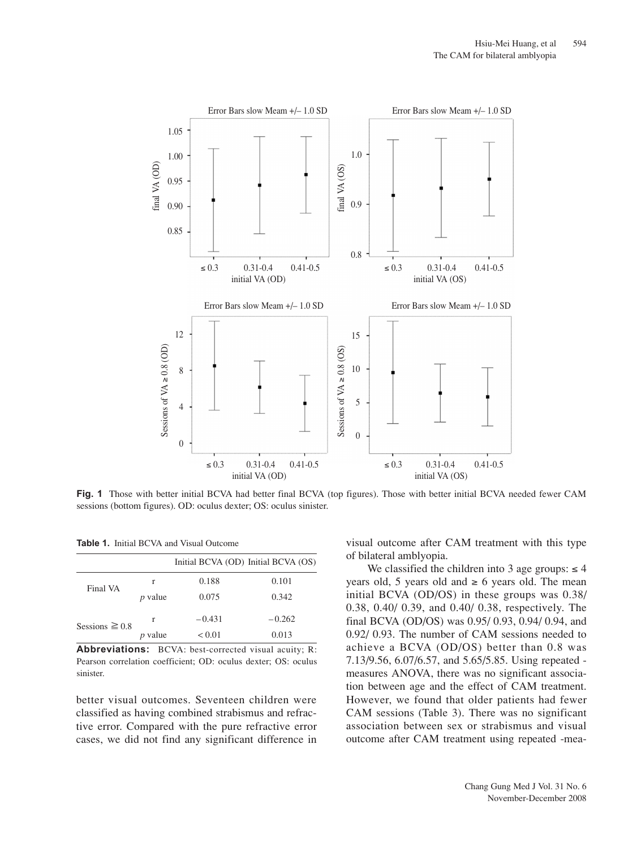

**Fig. 1** Those with better initial BCVA had better final BCVA (top figures). Those with better initial BCVA needed fewer CAM sessions (bottom figures). OD: oculus dexter; OS: oculus sinister.

|                     |                | Initial BCVA (OD) Initial BCVA (OS) |          |
|---------------------|----------------|-------------------------------------|----------|
| Final VA            | r              | 0.188                               | 0.101    |
|                     | <i>p</i> value | 0.075                               | 0.342    |
| Sessions $\geq 0.8$ | r              | $-0.431$                            | $-0.262$ |
|                     | $p$ value      | < 0.01                              | 0.013    |

**Abbreviations:** BCVA: best-corrected visual acuity; R: Pearson correlation coefficient; OD: oculus dexter; OS: oculus sinister.

better visual outcomes. Seventeen children were classified as having combined strabismus and refractive error. Compared with the pure refractive error cases, we did not find any significant difference in visual outcome after CAM treatment with this type of bilateral amblyopia.

We classified the children into 3 age groups:  $\leq 4$ years old, 5 years old and  $\geq 6$  years old. The mean initial BCVA (OD/OS) in these groups was 0.38/ 0.38, 0.40/ 0.39, and 0.40/ 0.38, respectively. The final BCVA (OD/OS) was 0.95/ 0.93, 0.94/ 0.94, and 0.92/ 0.93. The number of CAM sessions needed to achieve a BCVA (OD/OS) better than 0.8 was 7.13/9.56, 6.07/6.57, and 5.65/5.85. Using repeated measures ANOVA, there was no significant association between age and the effect of CAM treatment. However, we found that older patients had fewer CAM sessions (Table 3). There was no significant association between sex or strabismus and visual outcome after CAM treatment using repeated -mea-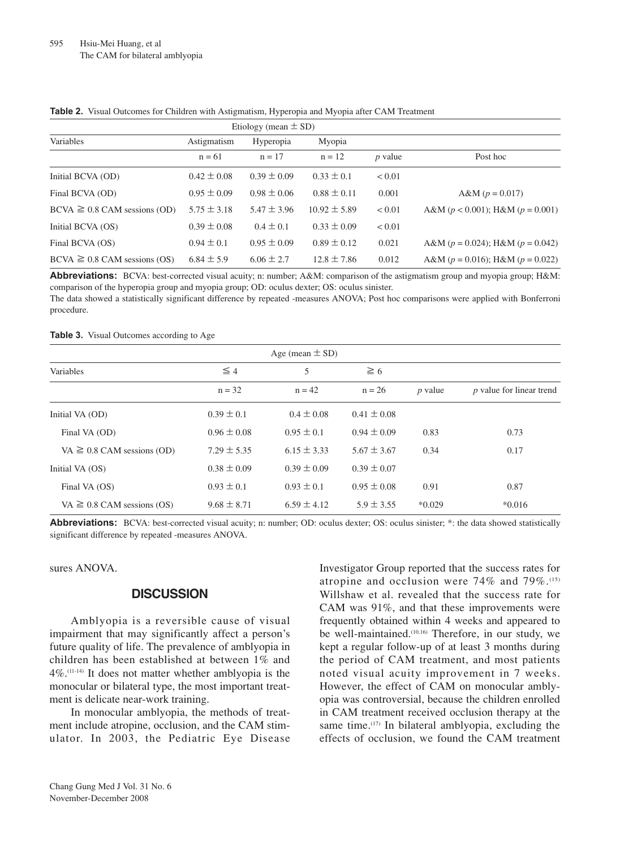| Etiology (mean $\pm$ SD)          |                 |                 |                  |            |                                          |  |  |  |  |
|-----------------------------------|-----------------|-----------------|------------------|------------|------------------------------------------|--|--|--|--|
| Variables                         | Astigmatism     | Hyperopia       | Myopia           |            |                                          |  |  |  |  |
|                                   | $n = 61$        | $n = 17$        | $n = 12$         | $p$ value  | Post hoc                                 |  |  |  |  |
| Initial BCVA (OD)                 | $0.42 \pm 0.08$ | $0.39 \pm 0.09$ | $0.33 \pm 0.1$   | < 0.01     |                                          |  |  |  |  |
| Final BCVA (OD)                   | $0.95 \pm 0.09$ | $0.98 \pm 0.06$ | $0.88 \pm 0.11$  | 0.001      | A&M $(p = 0.017)$                        |  |  |  |  |
| $BCVA \geq 0.8$ CAM sessions (OD) | $5.75 \pm 3.18$ | $5.47 \pm 3.96$ | $10.92 \pm 5.89$ | < 0.01     | A&M ( $p < 0.001$ ); H&M ( $p = 0.001$ ) |  |  |  |  |
| Initial BCVA (OS)                 | $0.39 \pm 0.08$ | $0.4 \pm 0.1$   | $0.33 \pm 0.09$  | ${}< 0.01$ |                                          |  |  |  |  |
| Final BCVA (OS)                   | $0.94 \pm 0.1$  | $0.95 \pm 0.09$ | $0.89 \pm 0.12$  | 0.021      | A&M ( $p = 0.024$ ); H&M ( $p = 0.042$ ) |  |  |  |  |
| $BCVA \geq 0.8$ CAM sessions (OS) | $6.84 \pm 5.9$  | $6.06 \pm 2.7$  | $12.8 \pm 7.86$  | 0.012      | A&M ( $p = 0.016$ ); H&M ( $p = 0.022$ ) |  |  |  |  |

**Table 2.** Visual Outcomes for Children with Astigmatism, Hyperopia and Myopia after CAM Treatment

**Abbreviations:** BCVA: best-corrected visual acuity; n: number; A&M: comparison of the astigmatism group and myopia group; H&M: comparison of the hyperopia group and myopia group; OD: oculus dexter; OS: oculus sinister.

The data showed a statistically significant difference by repeated -measures ANOVA; Post hoc comparisons were applied with Bonferroni procedure.

#### **Table 3.** Visual Outcomes according to Age

| Age (mean $\pm$ SD)             |                 |                 |                 |                |                                 |  |  |  |  |
|---------------------------------|-----------------|-----------------|-----------------|----------------|---------------------------------|--|--|--|--|
| Variables                       | $\leq 4$        | 5               | $\geq 6$        |                |                                 |  |  |  |  |
|                                 | $n = 32$        | $n = 42$        | $n = 26$        | <i>p</i> value | <i>p</i> value for linear trend |  |  |  |  |
| Initial VA (OD)                 | $0.39 \pm 0.1$  | $0.4 \pm 0.08$  | $0.41 \pm 0.08$ |                |                                 |  |  |  |  |
| Final VA (OD)                   | $0.96 \pm 0.08$ | $0.95 \pm 0.1$  | $0.94 \pm 0.09$ | 0.83           | 0.73                            |  |  |  |  |
| VA $\geq$ 0.8 CAM sessions (OD) | $7.29 \pm 5.35$ | $6.15 \pm 3.33$ | $5.67 \pm 3.67$ | 0.34           | 0.17                            |  |  |  |  |
| Initial VA (OS)                 | $0.38 \pm 0.09$ | $0.39 \pm 0.09$ | $0.39 \pm 0.07$ |                |                                 |  |  |  |  |
| Final VA (OS)                   | $0.93 \pm 0.1$  | $0.93 \pm 0.1$  | $0.95 \pm 0.08$ | 0.91           | 0.87                            |  |  |  |  |
| VA $\geq$ 0.8 CAM sessions (OS) | $9.68 \pm 8.71$ | $6.59 \pm 4.12$ | $5.9 \pm 3.55$  | $*0.029$       | $*0.016$                        |  |  |  |  |

**Abbreviations:** BCVA: best-corrected visual acuity; n: number; OD: oculus dexter; OS: oculus sinister; \*: the data showed statistically significant difference by repeated -measures ANOVA.

sures ANOVA.

## **DISCUSSION**

Amblyopia is a reversible cause of visual impairment that may significantly affect a person's future quality of life. The prevalence of amblyopia in children has been established at between 1% and 4%.(11-14) It does not matter whether amblyopia is the monocular or bilateral type, the most important treatment is delicate near-work training.

In monocular amblyopia, the methods of treatment include atropine, occlusion, and the CAM stimulator. In 2003, the Pediatric Eye Disease Investigator Group reported that the success rates for atropine and occlusion were  $74\%$  and  $79\%$ .<sup>(15)</sup> Willshaw et al. revealed that the success rate for CAM was 91%, and that these improvements were frequently obtained within 4 weeks and appeared to be well-maintained.<sup>(10,16)</sup> Therefore, in our study, we kept a regular follow-up of at least 3 months during the period of CAM treatment, and most patients noted visual acuity improvement in 7 weeks. However, the effect of CAM on monocular amblyopia was controversial, because the children enrolled in CAM treatment received occlusion therapy at the same time. $(17)$  In bilateral amblyopia, excluding the effects of occlusion, we found the CAM treatment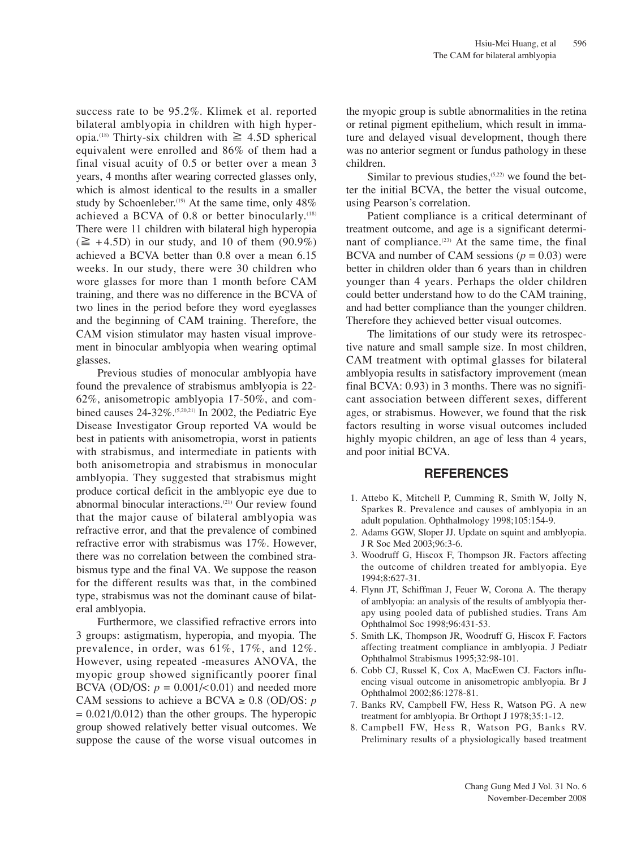success rate to be 95.2%. Klimek et al. reported bilateral amblyopia in children with high hyperopia.<sup>(18)</sup> Thirty-six children with  $\geq 4.5D$  spherical equivalent were enrolled and 86% of them had a final visual acuity of 0.5 or better over a mean 3 years, 4 months after wearing corrected glasses only, which is almost identical to the results in a smaller study by Schoenleber.<sup>(19)</sup> At the same time, only  $48\%$ achieved a BCVA of  $0.8$  or better binocularly.<sup>(18)</sup> There were 11 children with bilateral high hyperopia  $(\geq +4.5D)$  in our study, and 10 of them (90.9%) achieved a BCVA better than 0.8 over a mean 6.15 weeks. In our study, there were 30 children who wore glasses for more than 1 month before CAM training, and there was no difference in the BCVA of two lines in the period before they word eyeglasses and the beginning of CAM training. Therefore, the CAM vision stimulator may hasten visual improvement in binocular amblyopia when wearing optimal glasses.

Previous studies of monocular amblyopia have found the prevalence of strabismus amblyopia is 22- 62%, anisometropic amblyopia 17-50%, and combined causes  $24-32\%$ .<sup> $(5,20,21)$ </sup> In 2002, the Pediatric Eye Disease Investigator Group reported VA would be best in patients with anisometropia, worst in patients with strabismus, and intermediate in patients with both anisometropia and strabismus in monocular amblyopia. They suggested that strabismus might produce cortical deficit in the amblyopic eye due to abnormal binocular interactions.(21) Our review found that the major cause of bilateral amblyopia was refractive error, and that the prevalence of combined refractive error with strabismus was 17%. However, there was no correlation between the combined strabismus type and the final VA. We suppose the reason for the different results was that, in the combined type, strabismus was not the dominant cause of bilateral amblyopia.

Furthermore, we classified refractive errors into 3 groups: astigmatism, hyperopia, and myopia. The prevalence, in order, was 61%, 17%, and 12%. However, using repeated -measures ANOVA, the myopic group showed significantly poorer final BCVA (OD/OS:  $p = 0.001/\leq 0.01$ ) and needed more CAM sessions to achieve a BCVA  $\geq$  0.8 (OD/OS: *p*)  $= 0.021/0.012$ ) than the other groups. The hyperopic group showed relatively better visual outcomes. We suppose the cause of the worse visual outcomes in the myopic group is subtle abnormalities in the retina or retinal pigment epithelium, which result in immature and delayed visual development, though there was no anterior segment or fundus pathology in these children.

Similar to previous studies,  $(5,22)$  we found the better the initial BCVA, the better the visual outcome, using Pearson's correlation.

Patient compliance is a critical determinant of treatment outcome, and age is a significant determinant of compliance. $(23)$  At the same time, the final BCVA and number of CAM sessions  $(p = 0.03)$  were better in children older than 6 years than in children younger than 4 years. Perhaps the older children could better understand how to do the CAM training, and had better compliance than the younger children. Therefore they achieved better visual outcomes.

The limitations of our study were its retrospective nature and small sample size. In most children, CAM treatment with optimal glasses for bilateral amblyopia results in satisfactory improvement (mean final BCVA: 0.93) in 3 months. There was no significant association between different sexes, different ages, or strabismus. However, we found that the risk factors resulting in worse visual outcomes included highly myopic children, an age of less than 4 years, and poor initial BCVA.

### **REFERENCES**

- 1. Attebo K, Mitchell P, Cumming R, Smith W, Jolly N, Sparkes R. Prevalence and causes of amblyopia in an adult population. Ophthalmology 1998;105:154-9.
- 2. Adams GGW, Sloper JJ. Update on squint and amblyopia. J R Soc Med 2003;96:3-6.
- 3. Woodruff G, Hiscox F, Thompson JR. Factors affecting the outcome of children treated for amblyopia. Eye 1994;8:627-31.
- 4. Flynn JT, Schiffman J, Feuer W, Corona A. The therapy of amblyopia: an analysis of the results of amblyopia therapy using pooled data of published studies. Trans Am Ophthalmol Soc 1998;96:431-53.
- 5. Smith LK, Thompson JR, Woodruff G, Hiscox F. Factors affecting treatment compliance in amblyopia. J Pediatr Ophthalmol Strabismus 1995;32:98-101.
- 6. Cobb CJ, Russel K, Cox A, MacEwen CJ. Factors influencing visual outcome in anisometropic amblyopia. Br J Ophthalmol 2002;86:1278-81.
- 7. Banks RV, Campbell FW, Hess R, Watson PG. A new treatment for amblyopia. Br Orthopt J 1978;35:1-12.
- 8. Campbell FW, Hess R, Watson PG, Banks RV. Preliminary results of a physiologically based treatment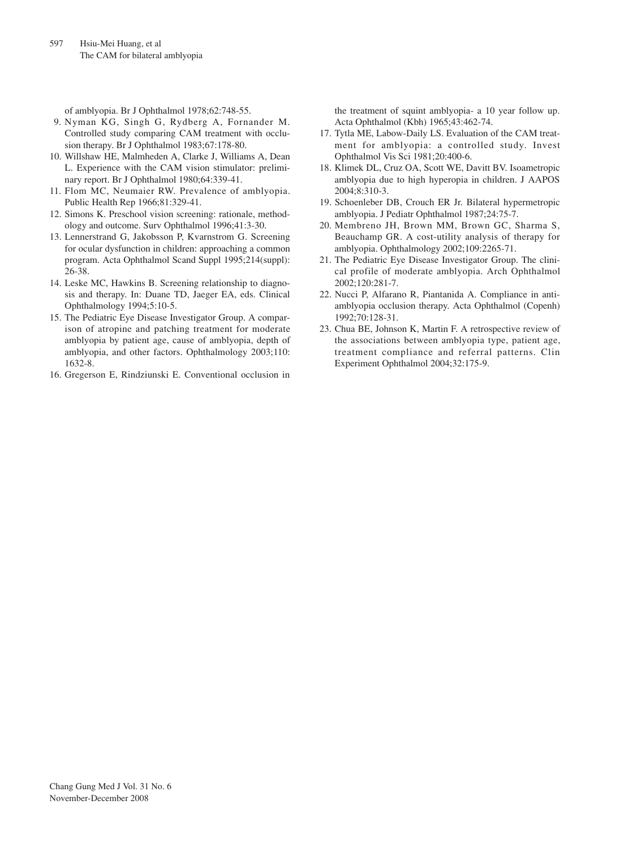of amblyopia. Br J Ophthalmol 1978;62:748-55.

- 9. Nyman KG, Singh G, Rydberg A, Fornander M. Controlled study comparing CAM treatment with occlusion therapy. Br J Ophthalmol 1983;67:178-80.
- 10. Willshaw HE, Malmheden A, Clarke J, Williams A, Dean L. Experience with the CAM vision stimulator: preliminary report. Br J Ophthalmol 1980;64:339-41.
- 11. Flom MC, Neumaier RW. Prevalence of amblyopia. Public Health Rep 1966;81:329-41.
- 12. Simons K. Preschool vision screening: rationale, methodology and outcome. Surv Ophthalmol 1996;41:3-30.
- 13. Lennerstrand G, Jakobsson P, Kvarnstrom G. Screening for ocular dysfunction in children: approaching a common program. Acta Ophthalmol Scand Suppl 1995;214(suppl): 26-38.
- 14. Leske MC, Hawkins B. Screening relationship to diagnosis and therapy. In: Duane TD, Jaeger EA, eds. Clinical Ophthalmology 1994;5:10-5.
- 15. The Pediatric Eye Disease Investigator Group. A comparison of atropine and patching treatment for moderate amblyopia by patient age, cause of amblyopia, depth of amblyopia, and other factors. Ophthalmology 2003;110: 1632-8.
- 16. Gregerson E, Rindziunski E. Conventional occlusion in

the treatment of squint amblyopia- a 10 year follow up. Acta Ophthalmol (Kbh) 1965;43:462-74.

- 17. Tytla ME, Labow-Daily LS. Evaluation of the CAM treatment for amblyopia: a controlled study. Invest Ophthalmol Vis Sci 1981;20:400-6.
- 18. Klimek DL, Cruz OA, Scott WE, Davitt BV. Isoametropic amblyopia due to high hyperopia in children. J AAPOS 2004;8:310-3.
- 19. Schoenleber DB, Crouch ER Jr. Bilateral hypermetropic amblyopia. J Pediatr Ophthalmol 1987;24:75-7.
- 20. Membreno JH, Brown MM, Brown GC, Sharma S, Beauchamp GR. A cost-utility analysis of therapy for amblyopia. Ophthalmology 2002;109:2265-71.
- 21. The Pediatric Eye Disease Investigator Group. The clinical profile of moderate amblyopia. Arch Ophthalmol 2002;120:281-7.
- 22. Nucci P, Alfarano R, Piantanida A. Compliance in antiamblyopia occlusion therapy. Acta Ophthalmol (Copenh) 1992;70:128-31.
- 23. Chua BE, Johnson K, Martin F. A retrospective review of the associations between amblyopia type, patient age, treatment compliance and referral patterns. Clin Experiment Ophthalmol 2004;32:175-9.